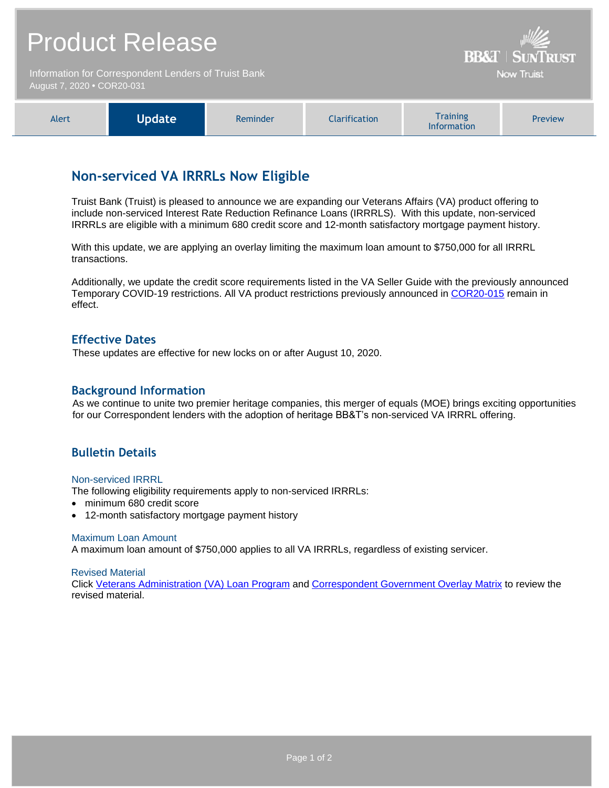|                                                                                    | <b>Product Release</b> | <b>BB&amp;T   SUNTRUST</b> |                      |                                       |         |
|------------------------------------------------------------------------------------|------------------------|----------------------------|----------------------|---------------------------------------|---------|
| Information for Correspondent Lenders of Truist Bank<br>August 7, 2020 • COR20-031 |                        |                            |                      | <b>Now Truist</b>                     |         |
| Alert                                                                              | <b>Update</b>          | Reminder                   | <b>Clarification</b> | <b>Training</b><br><b>Information</b> | Preview |

# **Non-serviced VA IRRRLs Now Eligible**

Truist Bank (Truist) is pleased to announce we are expanding our Veterans Affairs (VA) product offering to include non-serviced Interest Rate Reduction Refinance Loans (IRRRLS). With this update, non-serviced IRRRLs are eligible with a minimum 680 credit score and 12-month satisfactory mortgage payment history.

With this update, we are applying an overlay limiting the maximum loan amount to \$750,000 for all IRRRL transactions.

Additionally, we update the credit score requirements listed in the VA Seller Guide with the previously announced Temporary COVID-19 restrictions. All VA product restrictions previously announced in [COR20-015](https://www.truistsellerguide.com/Manual/cor/bulletins/archive/Cr20-015.pdf) remain in effect.

### **Effective Dates**

These updates are effective for new locks on or after August 10, 2020.

### **Background Information**

As we continue to unite two premier heritage companies, this merger of equals (MOE) brings exciting opportunities for our Correspondent lenders with the adoption of heritage BB&T's non-serviced VA IRRRL offering.

# **Bulletin Details**

#### Non-serviced IRRRL

The following eligibility requirements apply to non-serviced IRRRLs:

- minimum 680 credit score
- 12-month satisfactory mortgage payment history

#### Maximum Loan Amount

A maximum loan amount of \$750,000 applies to all VA IRRRLs, regardless of existing servicer.

#### Revised Material

Click [Veterans Administration \(VA\) Loan Program](https://www.truistsellerguide.com/manual/cor/products/cVA.pdf) and [Correspondent Government Overlay Matrix](https://www.truistsellerguide.com/manual/cor/products/CGovtCreditOverlays.pdf) to review the revised material.